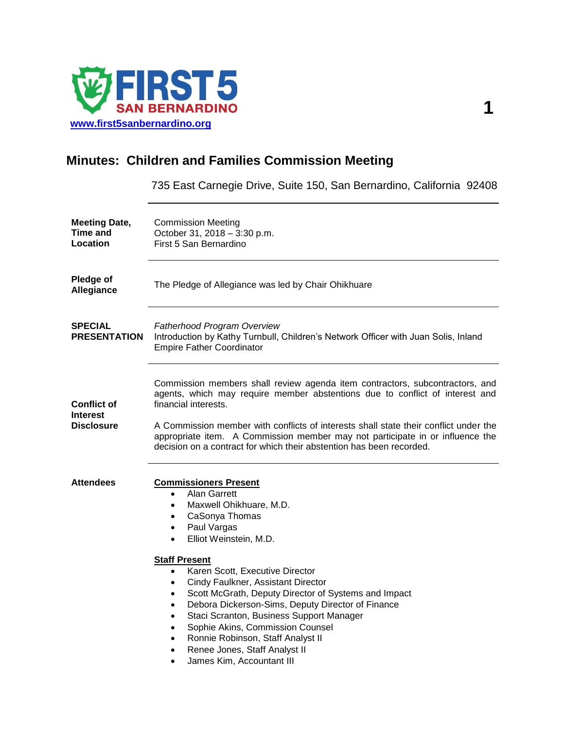

## **Minutes: Children and Families Commission Meeting**

735 East Carnegie Drive, Suite 150, San Bernardino, California 92408

| <b>Meeting Date,</b><br>Time and<br>Location               | <b>Commission Meeting</b><br>October 31, 2018 - 3:30 p.m.<br>First 5 San Bernardino                                                                                                                                                                                                                                                                                                                                                                                                                                                                                                                                                                                                                    |
|------------------------------------------------------------|--------------------------------------------------------------------------------------------------------------------------------------------------------------------------------------------------------------------------------------------------------------------------------------------------------------------------------------------------------------------------------------------------------------------------------------------------------------------------------------------------------------------------------------------------------------------------------------------------------------------------------------------------------------------------------------------------------|
| Pledge of<br>Allegiance                                    | The Pledge of Allegiance was led by Chair Ohikhuare                                                                                                                                                                                                                                                                                                                                                                                                                                                                                                                                                                                                                                                    |
| <b>SPECIAL</b><br><b>PRESENTATION</b>                      | <b>Fatherhood Program Overview</b><br>Introduction by Kathy Turnbull, Children's Network Officer with Juan Solis, Inland<br><b>Empire Father Coordinator</b>                                                                                                                                                                                                                                                                                                                                                                                                                                                                                                                                           |
| <b>Conflict of</b><br><b>Interest</b><br><b>Disclosure</b> | Commission members shall review agenda item contractors, subcontractors, and<br>agents, which may require member abstentions due to conflict of interest and<br>financial interests.<br>A Commission member with conflicts of interests shall state their conflict under the<br>appropriate item. A Commission member may not participate in or influence the<br>decision on a contract for which their abstention has been recorded.                                                                                                                                                                                                                                                                  |
| <b>Attendees</b>                                           | <b>Commissioners Present</b><br><b>Alan Garrett</b><br>$\bullet$<br>Maxwell Ohikhuare, M.D.<br>$\bullet$<br>CaSonya Thomas<br>$\bullet$<br>Paul Vargas<br>$\bullet$<br>Elliot Weinstein, M.D.<br><b>Staff Present</b><br>Karen Scott, Executive Director<br>$\bullet$<br>Cindy Faulkner, Assistant Director<br>$\bullet$<br>Scott McGrath, Deputy Director of Systems and Impact<br>$\bullet$<br>Debora Dickerson-Sims, Deputy Director of Finance<br>$\bullet$<br>Staci Scranton, Business Support Manager<br>$\bullet$<br>Sophie Akins, Commission Counsel<br>Ronnie Robinson, Staff Analyst II<br>$\bullet$<br>Renee Jones, Staff Analyst II<br>$\bullet$<br>James Kim, Accountant III<br>$\bullet$ |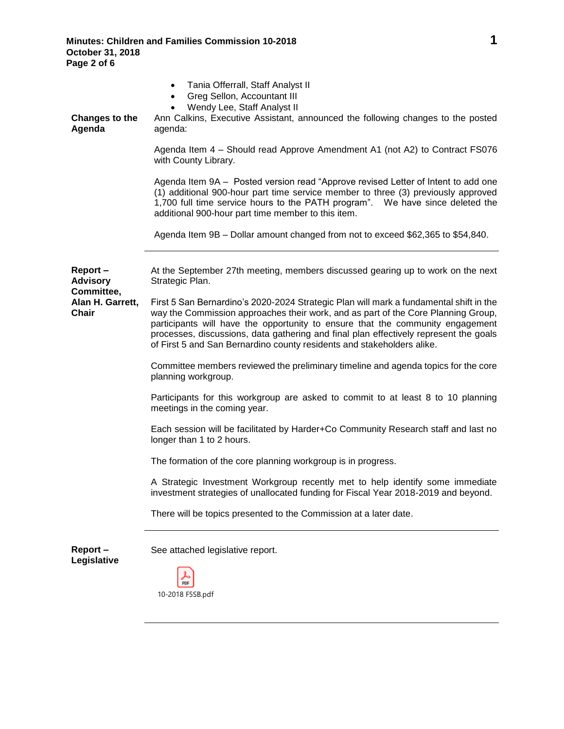**Minutes: Children and Families Commission 10-2018 1 October 31, 2018 Page 2 of 6**

| Tania Offerrall, Staff Analyst II<br>$\bullet$<br>Greg Sellon, Accountant III<br>$\bullet$<br>Wendy Lee, Staff Analyst II<br>Ann Calkins, Executive Assistant, announced the following changes to the posted<br>agenda:                                                                                                                                                                                                          |
|----------------------------------------------------------------------------------------------------------------------------------------------------------------------------------------------------------------------------------------------------------------------------------------------------------------------------------------------------------------------------------------------------------------------------------|
| Agenda Item 4 - Should read Approve Amendment A1 (not A2) to Contract FS076<br>with County Library.                                                                                                                                                                                                                                                                                                                              |
| Agenda Item 9A - Posted version read "Approve revised Letter of Intent to add one<br>(1) additional 900-hour part time service member to three (3) previously approved<br>1,700 full time service hours to the PATH program". We have since deleted the<br>additional 900-hour part time member to this item.                                                                                                                    |
| Agenda Item 9B - Dollar amount changed from not to exceed \$62,365 to \$54,840.                                                                                                                                                                                                                                                                                                                                                  |
| At the September 27th meeting, members discussed gearing up to work on the next<br>Strategic Plan.                                                                                                                                                                                                                                                                                                                               |
| First 5 San Bernardino's 2020-2024 Strategic Plan will mark a fundamental shift in the<br>way the Commission approaches their work, and as part of the Core Planning Group,<br>participants will have the opportunity to ensure that the community engagement<br>processes, discussions, data gathering and final plan effectively represent the goals<br>of First 5 and San Bernardino county residents and stakeholders alike. |
| Committee members reviewed the preliminary timeline and agenda topics for the core<br>planning workgroup.                                                                                                                                                                                                                                                                                                                        |
| Participants for this workgroup are asked to commit to at least 8 to 10 planning<br>meetings in the coming year.                                                                                                                                                                                                                                                                                                                 |
| Each session will be facilitated by Harder+Co Community Research staff and last no<br>longer than 1 to 2 hours.                                                                                                                                                                                                                                                                                                                  |
| The formation of the core planning workgroup is in progress.                                                                                                                                                                                                                                                                                                                                                                     |
| A Strategic Investment Workgroup recently met to help identify some immediate<br>investment strategies of unallocated funding for Fiscal Year 2018-2019 and beyond.                                                                                                                                                                                                                                                              |
| There will be topics presented to the Commission at a later date.                                                                                                                                                                                                                                                                                                                                                                |
| See attached legislative report.<br>PDF                                                                                                                                                                                                                                                                                                                                                                                          |
|                                                                                                                                                                                                                                                                                                                                                                                                                                  |

10-2018 F5SB.pdf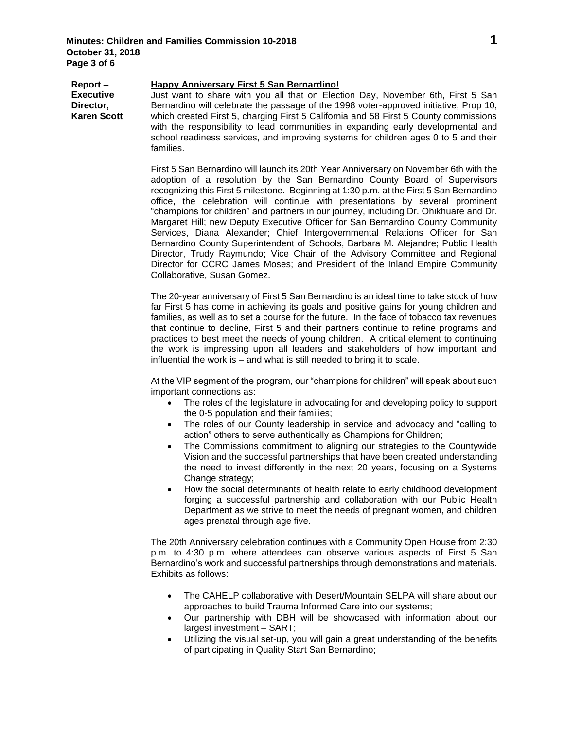**Report – Executive Director, Karen Scott Happy Anniversary First 5 San Bernardino!**  Just want to share with you all that on Election Day, November 6th, First 5 San Bernardino will celebrate the passage of the 1998 voter-approved initiative, Prop 10, which created First 5, charging First 5 California and 58 First 5 County commissions with the responsibility to lead communities in expanding early developmental and school readiness services, and improving systems for children ages 0 to 5 and their families.

> First 5 San Bernardino will launch its 20th Year Anniversary on November 6th with the adoption of a resolution by the San Bernardino County Board of Supervisors recognizing this First 5 milestone. Beginning at 1:30 p.m. at the First 5 San Bernardino office, the celebration will continue with presentations by several prominent "champions for children" and partners in our journey, including Dr. Ohikhuare and Dr. Margaret Hill; new Deputy Executive Officer for San Bernardino County Community Services, Diana Alexander; Chief Intergovernmental Relations Officer for San Bernardino County Superintendent of Schools, Barbara M. Alejandre; Public Health Director, Trudy Raymundo; Vice Chair of the Advisory Committee and Regional Director for CCRC James Moses; and President of the Inland Empire Community Collaborative, Susan Gomez.

> The 20-year anniversary of First 5 San Bernardino is an ideal time to take stock of how far First 5 has come in achieving its goals and positive gains for young children and families, as well as to set a course for the future. In the face of tobacco tax revenues that continue to decline, First 5 and their partners continue to refine programs and practices to best meet the needs of young children. A critical element to continuing the work is impressing upon all leaders and stakeholders of how important and influential the work is – and what is still needed to bring it to scale.

> At the VIP segment of the program, our "champions for children" will speak about such important connections as:

- The roles of the legislature in advocating for and developing policy to support the 0-5 population and their families;
- The roles of our County leadership in service and advocacy and "calling to action" others to serve authentically as Champions for Children;
- The Commissions commitment to aligning our strategies to the Countywide Vision and the successful partnerships that have been created understanding the need to invest differently in the next 20 years, focusing on a Systems Change strategy;
- How the social determinants of health relate to early childhood development forging a successful partnership and collaboration with our Public Health Department as we strive to meet the needs of pregnant women, and children ages prenatal through age five.

The 20th Anniversary celebration continues with a Community Open House from 2:30 p.m. to 4:30 p.m. where attendees can observe various aspects of First 5 San Bernardino's work and successful partnerships through demonstrations and materials. Exhibits as follows:

- The CAHELP collaborative with Desert/Mountain SELPA will share about our approaches to build Trauma Informed Care into our systems;
- Our partnership with DBH will be showcased with information about our largest investment – SART;
- Utilizing the visual set-up, you will gain a great understanding of the benefits of participating in Quality Start San Bernardino;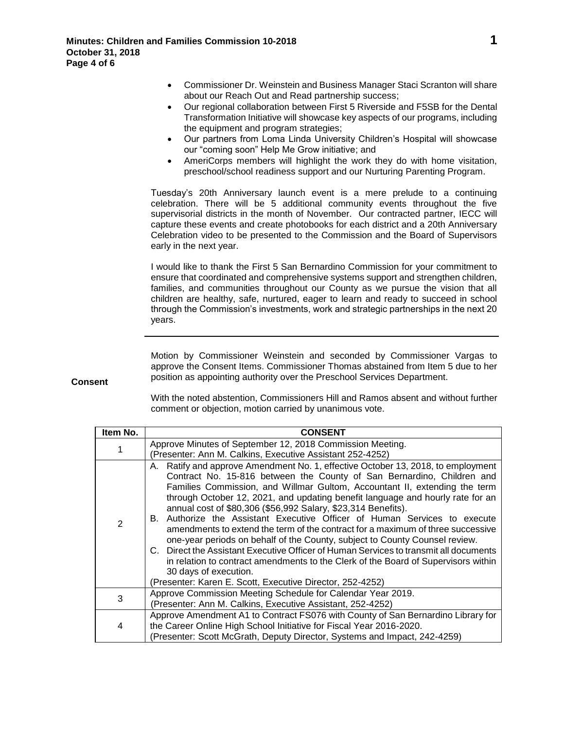- Commissioner Dr. Weinstein and Business Manager Staci Scranton will share about our Reach Out and Read partnership success;
- Our regional collaboration between First 5 Riverside and F5SB for the Dental Transformation Initiative will showcase key aspects of our programs, including the equipment and program strategies;
- Our partners from Loma Linda University Children's Hospital will showcase our "coming soon" Help Me Grow initiative; and
- AmeriCorps members will highlight the work they do with home visitation, preschool/school readiness support and our Nurturing Parenting Program.

Tuesday's 20th Anniversary launch event is a mere prelude to a continuing celebration. There will be 5 additional community events throughout the five supervisorial districts in the month of November. Our contracted partner, IECC will capture these events and create photobooks for each district and a 20th Anniversary Celebration video to be presented to the Commission and the Board of Supervisors early in the next year.

I would like to thank the First 5 San Bernardino Commission for your commitment to ensure that coordinated and comprehensive systems support and strengthen children, families, and communities throughout our County as we pursue the vision that all children are healthy, safe, nurtured, eager to learn and ready to succeed in school through the Commission's investments, work and strategic partnerships in the next 20 years.

Motion by Commissioner Weinstein and seconded by Commissioner Vargas to approve the Consent Items. Commissioner Thomas abstained from Item 5 due to her position as appointing authority over the Preschool Services Department.

**Consent**

With the noted abstention, Commissioners Hill and Ramos absent and without further comment or objection, motion carried by unanimous vote.

| Item No.     | <b>CONSENT</b>                                                                                                                                                                                                                                                                                                                                                                                                                                                                                                                                                                                                                                                                                                                                                                                                                                                                                                  |
|--------------|-----------------------------------------------------------------------------------------------------------------------------------------------------------------------------------------------------------------------------------------------------------------------------------------------------------------------------------------------------------------------------------------------------------------------------------------------------------------------------------------------------------------------------------------------------------------------------------------------------------------------------------------------------------------------------------------------------------------------------------------------------------------------------------------------------------------------------------------------------------------------------------------------------------------|
|              | Approve Minutes of September 12, 2018 Commission Meeting.<br>(Presenter: Ann M. Calkins, Executive Assistant 252-4252)                                                                                                                                                                                                                                                                                                                                                                                                                                                                                                                                                                                                                                                                                                                                                                                          |
| $\mathbf{2}$ | A. Ratify and approve Amendment No. 1, effective October 13, 2018, to employment<br>Contract No. 15-816 between the County of San Bernardino, Children and<br>Families Commission, and Willmar Gultom, Accountant II, extending the term<br>through October 12, 2021, and updating benefit language and hourly rate for an<br>annual cost of \$80,306 (\$56,992 Salary, \$23,314 Benefits).<br>B. Authorize the Assistant Executive Officer of Human Services to execute<br>amendments to extend the term of the contract for a maximum of three successive<br>one-year periods on behalf of the County, subject to County Counsel review.<br>C. Direct the Assistant Executive Officer of Human Services to transmit all documents<br>in relation to contract amendments to the Clerk of the Board of Supervisors within<br>30 days of execution.<br>(Presenter: Karen E. Scott, Executive Director, 252-4252) |
| 3            | Approve Commission Meeting Schedule for Calendar Year 2019.<br>(Presenter: Ann M. Calkins, Executive Assistant, 252-4252)                                                                                                                                                                                                                                                                                                                                                                                                                                                                                                                                                                                                                                                                                                                                                                                       |
| 4            | Approve Amendment A1 to Contract FS076 with County of San Bernardino Library for<br>the Career Online High School Initiative for Fiscal Year 2016-2020.<br>(Presenter: Scott McGrath, Deputy Director, Systems and Impact, 242-4259)                                                                                                                                                                                                                                                                                                                                                                                                                                                                                                                                                                                                                                                                            |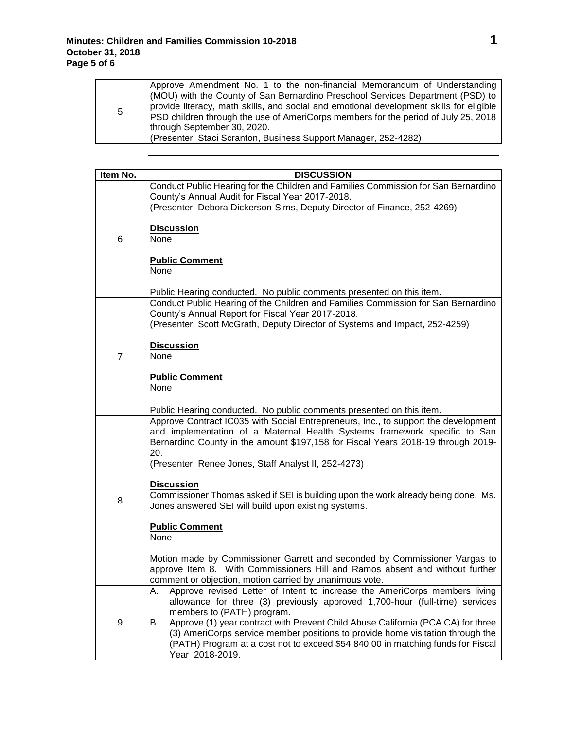| 5 | Approve Amendment No. 1 to the non-financial Memorandum of Understanding<br>(MOU) with the County of San Bernardino Preschool Services Department (PSD) to<br>provide literacy, math skills, and social and emotional development skills for eligible<br>PSD children through the use of AmeriCorps members for the period of July 25, 2018<br>through September 30, 2020.<br>(Presenter: Staci Scranton, Business Support Manager, 252-4282) |
|---|-----------------------------------------------------------------------------------------------------------------------------------------------------------------------------------------------------------------------------------------------------------------------------------------------------------------------------------------------------------------------------------------------------------------------------------------------|
|---|-----------------------------------------------------------------------------------------------------------------------------------------------------------------------------------------------------------------------------------------------------------------------------------------------------------------------------------------------------------------------------------------------------------------------------------------------|

| Item No.       | <b>DISCUSSION</b>                                                                                                                                                                                                                                                              |
|----------------|--------------------------------------------------------------------------------------------------------------------------------------------------------------------------------------------------------------------------------------------------------------------------------|
|                | Conduct Public Hearing for the Children and Families Commission for San Bernardino<br>County's Annual Audit for Fiscal Year 2017-2018.<br>(Presenter: Debora Dickerson-Sims, Deputy Director of Finance, 252-4269)                                                             |
| 6              | <b>Discussion</b><br>None                                                                                                                                                                                                                                                      |
|                | <b>Public Comment</b><br>None                                                                                                                                                                                                                                                  |
|                | Public Hearing conducted. No public comments presented on this item.                                                                                                                                                                                                           |
|                | Conduct Public Hearing of the Children and Families Commission for San Bernardino<br>County's Annual Report for Fiscal Year 2017-2018.<br>(Presenter: Scott McGrath, Deputy Director of Systems and Impact, 252-4259)                                                          |
|                |                                                                                                                                                                                                                                                                                |
| $\overline{7}$ | <b>Discussion</b><br>None                                                                                                                                                                                                                                                      |
|                | <b>Public Comment</b><br>None                                                                                                                                                                                                                                                  |
|                | Public Hearing conducted. No public comments presented on this item.                                                                                                                                                                                                           |
|                | Approve Contract IC035 with Social Entrepreneurs, Inc., to support the development<br>and implementation of a Maternal Health Systems framework specific to San<br>Bernardino County in the amount \$197,158 for Fiscal Years 2018-19 through 2019-<br>20.                     |
|                | (Presenter: Renee Jones, Staff Analyst II, 252-4273)                                                                                                                                                                                                                           |
| 8              | <b>Discussion</b><br>Commissioner Thomas asked if SEI is building upon the work already being done. Ms.<br>Jones answered SEI will build upon existing systems.                                                                                                                |
|                | <b>Public Comment</b><br>None                                                                                                                                                                                                                                                  |
|                | Motion made by Commissioner Garrett and seconded by Commissioner Vargas to<br>approve Item 8. With Commissioners Hill and Ramos absent and without further<br>comment or objection, motion carried by unanimous vote.                                                          |
|                | Approve revised Letter of Intent to increase the AmeriCorps members living<br>А.<br>allowance for three (3) previously approved 1,700-hour (full-time) services<br>members to (PATH) program.                                                                                  |
| 9              | Approve (1) year contract with Prevent Child Abuse California (PCA CA) for three<br>В.<br>(3) AmeriCorps service member positions to provide home visitation through the<br>(PATH) Program at a cost not to exceed \$54,840.00 in matching funds for Fiscal<br>Year 2018-2019. |